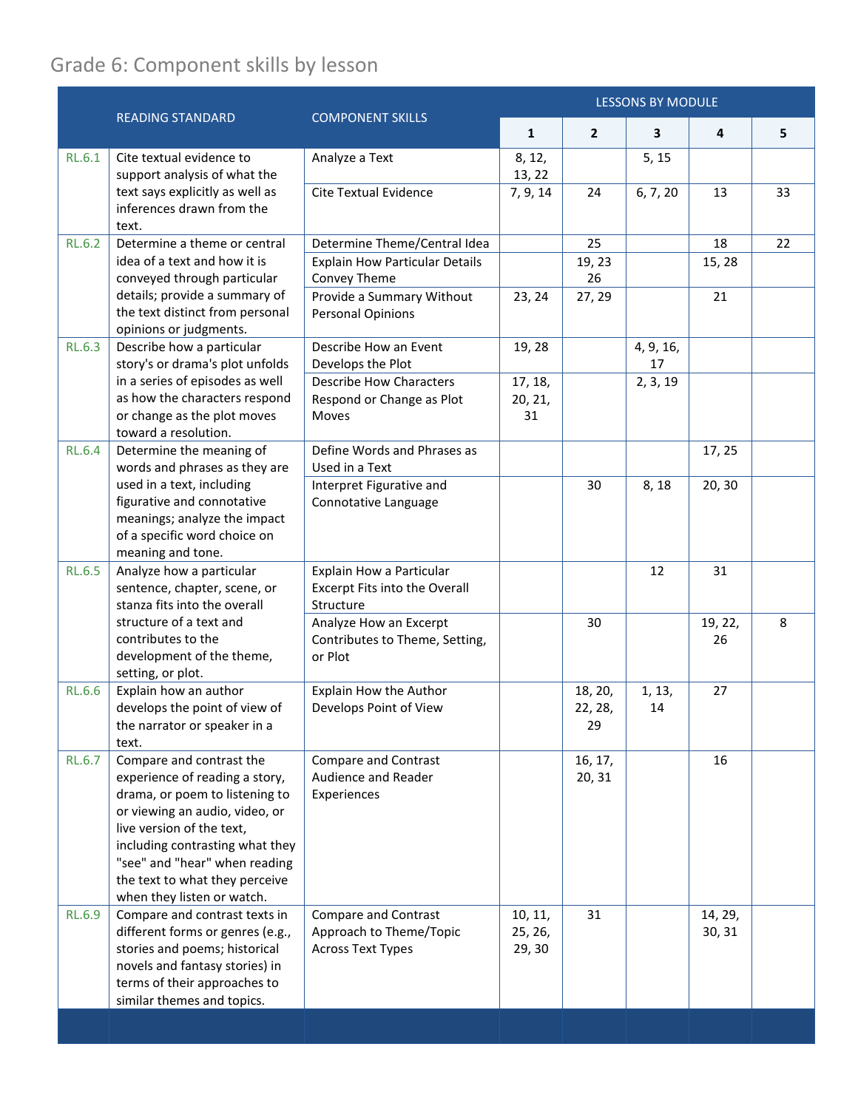## Grade 6: Component skills by lesson

|               | <b>READING STANDARD</b>                                                                                                                                                                                                                                                                         | <b>COMPONENT SKILLS</b>                                                            | <b>LESSONS BY MODULE</b>     |                          |                 |                   |    |
|---------------|-------------------------------------------------------------------------------------------------------------------------------------------------------------------------------------------------------------------------------------------------------------------------------------------------|------------------------------------------------------------------------------------|------------------------------|--------------------------|-----------------|-------------------|----|
|               |                                                                                                                                                                                                                                                                                                 |                                                                                    | $\mathbf{1}$                 | $\mathbf{2}$             | 3               | 4                 | 5  |
| RL.6.1        | Cite textual evidence to<br>support analysis of what the                                                                                                                                                                                                                                        | Analyze a Text                                                                     | 8, 12,<br>13, 22             |                          | 5, 15           |                   |    |
|               | text says explicitly as well as<br>inferences drawn from the<br>text.                                                                                                                                                                                                                           | <b>Cite Textual Evidence</b>                                                       | 7, 9, 14                     | 24                       | 6, 7, 20        | 13                | 33 |
| <b>RL.6.2</b> | Determine a theme or central                                                                                                                                                                                                                                                                    | Determine Theme/Central Idea                                                       |                              | 25                       |                 | 18                | 22 |
|               | idea of a text and how it is<br>conveyed through particular<br>details; provide a summary of<br>the text distinct from personal<br>opinions or judgments.                                                                                                                                       | <b>Explain How Particular Details</b><br>Convey Theme                              |                              | 19, 23<br>26             |                 | 15, 28            |    |
|               |                                                                                                                                                                                                                                                                                                 | Provide a Summary Without<br><b>Personal Opinions</b>                              | 23, 24                       | 27, 29                   |                 | 21                |    |
| <b>RL.6.3</b> | Describe how a particular<br>story's or drama's plot unfolds                                                                                                                                                                                                                                    | Describe How an Event<br>Develops the Plot                                         | 19, 28                       |                          | 4, 9, 16,<br>17 |                   |    |
|               | in a series of episodes as well                                                                                                                                                                                                                                                                 | <b>Describe How Characters</b>                                                     | 17, 18,                      |                          | 2, 3, 19        |                   |    |
|               | as how the characters respond                                                                                                                                                                                                                                                                   | Respond or Change as Plot                                                          | 20, 21,                      |                          |                 |                   |    |
|               | or change as the plot moves<br>toward a resolution.                                                                                                                                                                                                                                             | Moves                                                                              | 31                           |                          |                 |                   |    |
| <b>RL.6.4</b> | Determine the meaning of<br>words and phrases as they are<br>used in a text, including<br>figurative and connotative<br>meanings; analyze the impact<br>of a specific word choice on<br>meaning and tone.                                                                                       | Define Words and Phrases as<br>Used in a Text                                      |                              |                          |                 | 17, 25            |    |
|               |                                                                                                                                                                                                                                                                                                 | Interpret Figurative and<br>Connotative Language                                   |                              | 30                       | 8, 18           | 20, 30            |    |
| <b>RL.6.5</b> | Analyze how a particular<br>sentence, chapter, scene, or<br>stanza fits into the overall<br>structure of a text and<br>contributes to the<br>development of the theme,<br>setting, or plot.                                                                                                     | Explain How a Particular<br>Excerpt Fits into the Overall<br>Structure             |                              |                          | 12              | 31                |    |
|               |                                                                                                                                                                                                                                                                                                 | Analyze How an Excerpt<br>Contributes to Theme, Setting,<br>or Plot                |                              | 30                       |                 | 19, 22,<br>26     | 8  |
| <b>RL.6.6</b> | Explain how an author<br>develops the point of view of<br>the narrator or speaker in a<br>text.                                                                                                                                                                                                 | Explain How the Author<br>Develops Point of View                                   |                              | 18, 20,<br>22, 28,<br>29 | 1, 13,<br>14    | 27                |    |
| <b>RL.6.7</b> | Compare and contrast the<br>experience of reading a story,<br>drama, or poem to listening to<br>or viewing an audio, video, or<br>live version of the text,<br>including contrasting what they<br>"see" and "hear" when reading<br>the text to what they perceive<br>when they listen or watch. | <b>Compare and Contrast</b><br>Audience and Reader<br>Experiences                  |                              | 16, 17,<br>20, 31        |                 | 16                |    |
| <b>RL.6.9</b> | Compare and contrast texts in<br>different forms or genres (e.g.,<br>stories and poems; historical<br>novels and fantasy stories) in<br>terms of their approaches to<br>similar themes and topics.                                                                                              | <b>Compare and Contrast</b><br>Approach to Theme/Topic<br><b>Across Text Types</b> | 10, 11,<br>25, 26,<br>29, 30 | 31                       |                 | 14, 29,<br>30, 31 |    |
|               |                                                                                                                                                                                                                                                                                                 |                                                                                    |                              |                          |                 |                   |    |